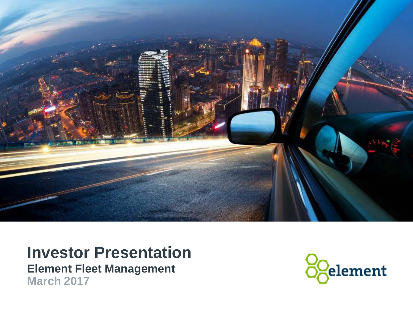

### **Investor Presentation Element Fleet Management March 2017**

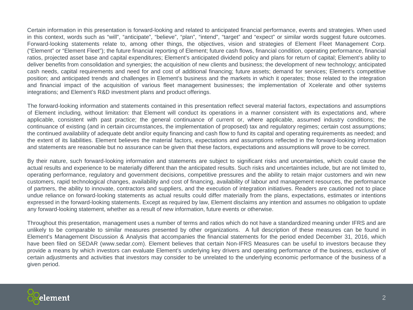Certain information in this presentation is forward-looking and related to anticipated financial performance, events and strategies. When used in this context, words such as "will", "anticipate", "believe", "plan", "intend", "target" and "expect" or similar words suggest future outcomes. Forward-looking statements relate to, among other things, the objectives, vision and strategies of Element Fleet Management Corp. ("Element" or "Element Fleet"); the future financial reporting of Element; future cash flows, financial condition, operating performance, financial ratios, projected asset base and capital expenditures; Element's anticipated dividend policy and plans for return of capital; Element's ability to deliver benefits from consolidation and synergies; the acquisition of new clients and business; the development of new technology; anticipated cash needs, capital requirements and need for and cost of additional financing; future assets; demand for services; Element's competitive position; and anticipated trends and challenges in Element's business and the markets in which it operates; those related to the integration and financial impact of the acquisition of various fleet management businesses; the implementation of Xcelerate and other systems integrations; and Element's R&D investment plans and product offerings.

The forward-looking information and statements contained in this presentation reflect several material factors, expectations and assumptions of Element including, without limitation: that Element will conduct its operations in a manner consistent with its expectations and, where applicable, consistent with past practice; the general continuance of current or, where applicable, assumed industry conditions; the continuance of existing (and in certain circumstances, the implementation of proposed) tax and regulatory regimes; certain cost assumptions; the continued availability of adequate debt and/or equity financing and cash flow to fund its capital and operating requirements as needed; and the extent of its liabilities. Element believes the material factors, expectations and assumptions reflected in the forward-looking information and statements are reasonable but no assurance can be given that these factors, expectations and assumptions will prove to be correct.

By their nature, such forward-looking information and statements are subject to significant risks and uncertainties, which could cause the actual results and experience to be materially different than the anticipated results. Such risks and uncertainties include, but are not limited to, operating performance, regulatory and government decisions, competitive pressures and the ability to retain major customers and win new customers, rapid technological changes, availability and cost of financing, availability of labour and management resources, the performance of partners, the ability to innovate, contractors and suppliers, and the execution of integration initiatives. Readers are cautioned not to place undue reliance on forward-looking statements as actual results could differ materially from the plans, expectations, estimates or intentions expressed in the forward-looking statements. Except as required by law, Element disclaims any intention and assumes no obligation to update any forward-looking statement, whether as a result of new information, future events or otherwise.

Throughout this presentation, management uses a number of terms and ratios which do not have a standardized meaning under IFRS and are unlikely to be comparable to similar measures presented by other organizations. A full description of these measures can be found in Element's Management Discussion & Analysis that accompanies the financial statements for the period ended December 31, 2016, which have been filed on SEDAR (www.sedar.com). Element believes that certain Non-IFRS Measures can be useful to investors because they provide a means by which investors can evaluate Element's underlying key drivers and operating performance of the business, exclusive of certain adjustments and activities that investors may consider to be unrelated to the underlying economic performance of the business of a given period.

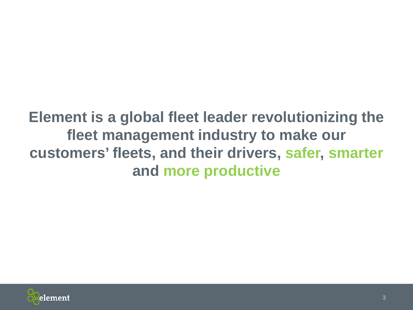## **Element is a global fleet leader revolutionizing the fleet management industry to make our customers' fleets, and their drivers, safer, smarter and more productive**

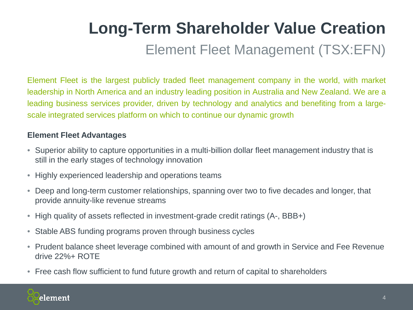# Element Fleet Management (TSX:EFN) **Long-Term Shareholder Value Creation**

Element Fleet is the largest publicly traded fleet management company in the world, with market leadership in North America and an industry leading position in Australia and New Zealand. We are a leading business services provider, driven by technology and analytics and benefiting from a largescale integrated services platform on which to continue our dynamic growth

### **Element Fleet Advantages**

- Superior ability to capture opportunities in a multi-billion dollar fleet management industry that is still in the early stages of technology innovation
- Highly experienced leadership and operations teams
- Deep and long-term customer relationships, spanning over two to five decades and longer, that provide annuity-like revenue streams
- High quality of assets reflected in investment-grade credit ratings (A-, BBB+)
- Stable ABS funding programs proven through business cycles
- Prudent balance sheet leverage combined with amount of and growth in Service and Fee Revenue drive 22%+ ROTE
- Free cash flow sufficient to fund future growth and return of capital to shareholders

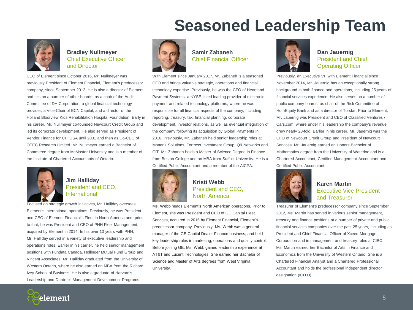## **Seasoned Leadership Team**



**Bradley Nullmeyer**  Chief Executive Officer and Director

CEO of Element since October 2016, Mr. Nullmeyer was previously President of Element Financial, Element's predecessor company, since September 2012. He is also a director of Element and sits on a number of other boards: as a chair of the Audit Committee of DH Corporation, a global financial technology provider; a Vice-Chair of ECN Capital; and a director of the Holland Bloorview Kids Rehabilitation Hospital Foundation. Early in his career, Mr. Nullmeyer co-founded Newcourt Credit Group and led its corporate development. He also served as President of Vendor Finance for CIT USA until 2001 and then as Co-CEO of OTEC Research Limited. Mr. Nullmeyer earned a Bachelor of Commerce degree from McMaster University and is a member of the Institute of Chartered Accountants of Ontario.



#### **Jim Halliday** President and CEO, International

Focused on strategic growth initiatives, Mr. Halliday oversees Element's International operations. Previously, he was President and CEO of Element Financial's Fleet in North America and, prior to that, he was President and CEO of PHH Fleet Management, acquired by Element in 2014. In his over 10 years with PHH, Mr. Halliday served in a variety of executive leadership and operations roles. Earlier in his carrier, he held senior management positions with Fundata Canada, Hollinger Mutual Fund Group and Vincent Associates. Mr. Halliday graduated from the University of Western Ontario, where he also earned an MBA from the Richard Ivey School of Business. He is also a graduate of Harvard's Leadership and Darden's Management Development Programs.



#### **Samir Zabaneh** Chief Financial Officer

With Element since January 2017, Mr. Zabaneh is a seasoned CFO and brings valuable strategic, operations and financial technology expertise. Previously, he was the CFO of Heartland Payment Systems, a NYSE-listed leading provider of electronic payment and related technology platforms, where he was responsible for all financial aspects of the company, including reporting, treasury, tax, financial planning, corporate development, investor relations, as well as eventual integration of the company following its acquisition by Global Payments in 2016. Previously, Mr. Zabaneh held senior leadership roles at Moneris Solutions, Fortress Investment Group, Q9 Networks and CIT. Mr. Zabaneh holds a Master of Science Degree in Finance from Boston College and an MBA from Suffolk University. He is a Certified Public Accountant and a member of the AICPA.



#### **Kristi Webb** President and CEO, North America

Ms. Webb heads Element's North American operations. Prior to Element, she was President and CEO of GE Capital Fleet Services, acquired in 2015 by Element Financial, Element's predecessor company. Previously, Ms. Webb was a general manager of the GE Capital Dealer Finance business, and held key leadership roles in marketing, operations and quality control. Before joining GE, Ms. Webb gained leadership experience at AT&T and Lucent Technologies. She earned her Bachelor of Science and Master of Arts degrees from West Virginia University.



**Dan Jauernig** President and Chief Operating Officer

Previously, an Executive VP with Element Financial since November 2014, Mr. Jauernig has an exceptionally strong background in both finance and operations, including 25 years of financial services experience. He also serves on a number of public company boards: as chair of the Risk Committee of HomEquity Bank and as a director of Torstar. Prior to Element, Mr. Jauernig was President and CEO of Classified Ventures / Cars.com, where under his leadership the company's revenue grew nearly 20-fold. Earlier in his career, Mr. Jauernig was the CFO of Newcourt Credit Group and President of Newcourt Services. Mr. Jauernig earned an Honors Bachelor of Mathematics degree from the University of Waterloo and is a Chartered Accountant, Certified Management Accountant and Certified Public Accountant.



#### **Karen Martin** Executive Vice President and Treasurer

Treasurer of Element's predecessor company since September 2012, Ms. Martin has served in various senior management, treasury and finance positions at a number of private and public financial services companies over the past 25 years, including as President and Chief Financial Officer of Xceed Mortgage Corporation and in management and treasury roles at CIBC. Ms. Martin earned her Bachelor of Arts in Finance and Economics from the University of Western Ontario. She is a Chartered Financial Analyst and a Chartered Professional Accountant and holds the professional independent director designation (ICD.D).

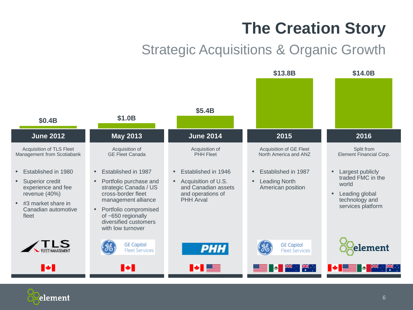# **The Creation Story**

## Strategic Acquisitions & Organic Growth

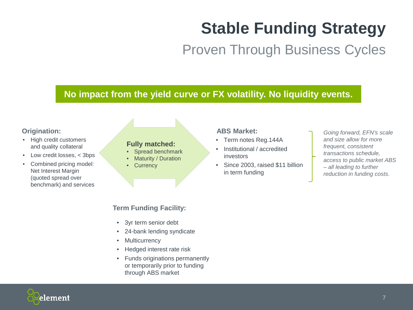# **Stable Funding Strategy**

Proven Through Business Cycles

### **No impact from the yield curve or FX volatility. No liquidity events.**

#### **Origination:**

- High credit customers and quality collateral
- Low credit losses, < 3bps
- Combined pricing model: Net Interest Margin (quoted spread over benchmark) and services

#### **Fully matched:**

- Spread benchmark
- Maturity / Duration
- Currency

#### **ABS Market:**

- Term notes Reg.144A
- Institutional / accredited investors
- Since 2003, raised \$11 billion in term funding
- *Going forward, EFN's scale and size allow for more frequent, consistent transactions schedule, access to public market ABS – all leading to further reduction in funding costs.*

### **Term Funding Facility:**

- 3yr term senior debt
- 24-bank lending syndicate
- Multicurrency
- Hedged interest rate risk
- Funds originations permanently or temporarily prior to funding through ABS market

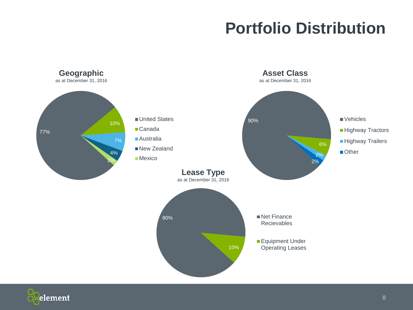# **Portfolio Distribution**



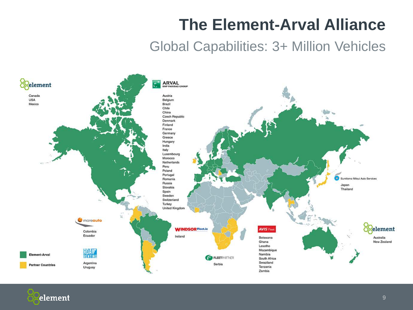# **The Element-Arval Alliance**

### Global Capabilities: 3+ Million Vehicles



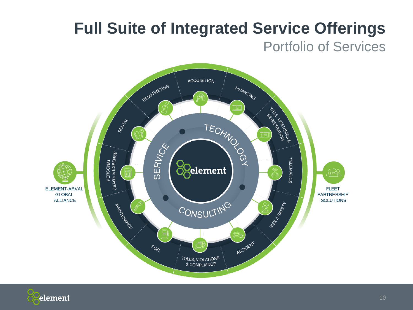## **Full Suite of Integrated Service Offerings** Portfolio of Services



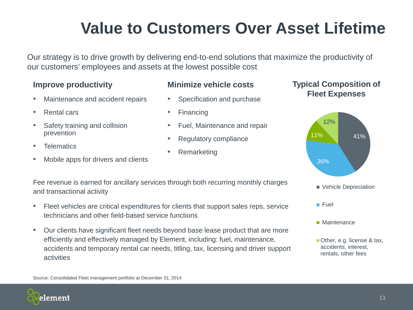# **Value to Customers Over Asset Lifetime**

Our strategy is to drive growth by delivering end-to-end solutions that maximize the productivity of our customers' employees and assets at the lowest possible cost

### **Improve productivity**

- Maintenance and accident repairs
- Rental cars
- Safety training and collision prevention
- **Telematics**
- Mobile apps for drivers and clients

### **Minimize vehicle costs**

- Specification and purchase
- Financing
- Fuel, Maintenance and repair
- Regulatory compliance
- **Remarketing**

### **Typical Composition of Fleet Expenses**



Fee revenue is earned for ancillary services through both recurring monthly charges and transactional activity

- Fleet vehicles are critical expenditures for clients that support sales reps, service technicians and other field-based service functions
- Our clients have significant fleet needs beyond base lease product that are more efficiently and effectively managed by Element, including: fuel, maintenance, accidents and temporary rental car needs, titling, tax, licensing and driver support activities

Source: Consolidated Fleet management portfolio at December 31, 2014

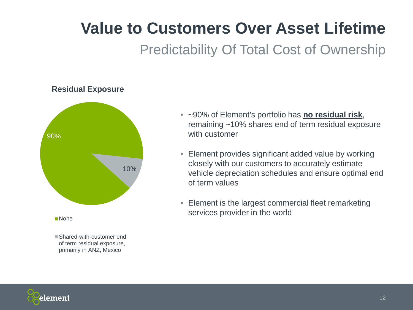# **Value to Customers Over Asset Lifetime**

### Predictability Of Total Cost of Ownership

### **Residual Exposure**



■ Shared-with-customer end of term residual exposure, primarily in ANZ, Mexico

- ~90% of Element's portfolio has **no residual risk**, remaining ~10% shares end of term residual exposure with customer
- Element provides significant added value by working closely with our customers to accurately estimate vehicle depreciation schedules and ensure optimal end of term values
- Element is the largest commercial fleet remarketing services provider in the world

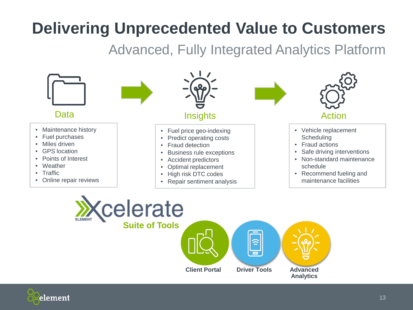# **Delivering Unprecedented Value to Customers**

Advanced, Fully Integrated Analytics Platform

13



element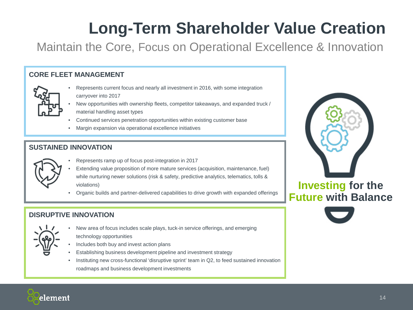# **Long-Term Shareholder Value Creation**

Maintain the Core, Focus on Operational Excellence & Innovation

### **CORE FLEET MANAGEMENT**



- Represents current focus and nearly all investment in 2016, with some integration carryover into 2017
- New opportunities with ownership fleets, competitor takeaways, and expanded truck / material handling asset types
- Continued services penetration opportunities within existing customer base
- Margin expansion via operational excellence initiatives

### **SUSTAINED INNOVATION**



- Represents ramp up of focus post-integration in 2017
- Extending value proposition of more mature services (acquisition, maintenance, fuel) while nurturing newer solutions (risk & safety, predictive analytics, telematics, tolls & violations)
- Organic builds and partner-delivered capabilities to drive growth with expanded offerings

### **DISRUPTIVE INNOVATION**



- New area of focus includes scale plays, tuck-in service offerings, and emerging technology opportunities
- Includes both buy and invest action plans
- Establishing business development pipeline and investment strategy
- Instituting new cross-functional 'disruptive sprint' team in Q2, to feed sustained innovation roadmaps and business development investments



### **Investing for the Future with Balance**



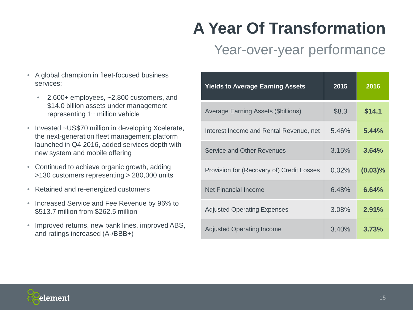# **A Year Of Transformation**

## Year-over-year performance

- A global champion in fleet-focused business services:
	- 2,600+ employees, ~2,800 customers, and \$14.0 billion assets under management representing 1+ million vehicle
- Invested ~US\$70 million in developing Xcelerate, the next-generation fleet management platform launched in Q4 2016, added services depth with new system and mobile offering
- Continued to achieve organic growth, adding >130 customers representing > 280,000 units
- Retained and re-energized customers
- Increased Service and Fee Revenue by 96% to \$513.7 million from \$262.5 million
- Improved returns, new bank lines, improved ABS, and ratings increased (A-/BBB+)

| <b>Yields to Average Earning Assets</b>    | 2015  | 2016       |
|--------------------------------------------|-------|------------|
| <b>Average Earning Assets (\$billions)</b> | \$8.3 | \$14.1     |
| Interest Income and Rental Revenue, net    | 5.46% | 5.44%      |
| <b>Service and Other Revenues</b>          | 3.15% | 3.64%      |
| Provision for (Recovery of) Credit Losses  | 0.02% | $(0.03)\%$ |
| <b>Net Financial Income</b>                | 6.48% | 6.64%      |
| <b>Adjusted Operating Expenses</b>         | 3.08% | 2.91%      |
| <b>Adjusted Operating Income</b>           | 3.40% | 3.73%      |

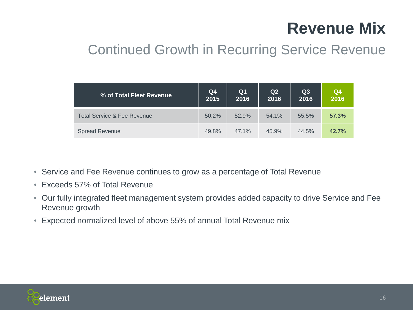# **Revenue Mix**

## Continued Growth in Recurring Service Revenue

| % of Total Fleet Revenue    | Q4<br>2015 | Q <sub>1</sub><br>2016 | Q2<br>2016 | Q3<br>2016 | Q <sub>4</sub><br>2016 |
|-----------------------------|------------|------------------------|------------|------------|------------------------|
| Total Service & Fee Revenue | 50.2%      | 52.9%                  | 54.1%      | 55.5%      | 57.3%                  |
| <b>Spread Revenue</b>       | 49.8%      | 47.1%                  | 45.9%      | 44.5%      | 42.7%                  |

- Service and Fee Revenue continues to grow as a percentage of Total Revenue
- Exceeds 57% of Total Revenue
- Our fully integrated fleet management system provides added capacity to drive Service and Fee Revenue growth
- Expected normalized level of above 55% of annual Total Revenue mix

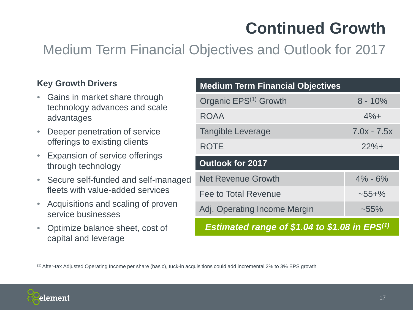# **Continued Growth**

## Medium Term Financial Objectives and Outlook for 2017

### **Key Growth Drivers**

- Gains in market share through technology advances and scale advantages
- Deeper penetration of service offerings to existing clients
- Expansion of service offerings through technology
- Secure self-funded and self-managed fleets with value-added services
- Acquisitions and scaling of proven service businesses
- Optimize balance sheet, cost of capital and leverage

| <b>Medium Term Financial Objectives</b>              |               |  |  |  |
|------------------------------------------------------|---------------|--|--|--|
| Organic EPS <sup>(1)</sup> Growth                    | $8 - 10\%$    |  |  |  |
| <b>ROAA</b>                                          | $4%+$         |  |  |  |
| <b>Tangible Leverage</b>                             | $7.0x - 7.5x$ |  |  |  |
| <b>ROTE</b>                                          | $22%+$        |  |  |  |
| <b>Outlook for 2017</b>                              |               |  |  |  |
| <b>Net Revenue Growth</b>                            | $4\% - 6\%$   |  |  |  |
| Fee to Total Revenue                                 | $~155 + \%$   |  |  |  |
| Adj. Operating Income Margin                         | $~1.55\%$     |  |  |  |
| <b>Estimated range of \$1.04 to \$1.08 in EPS(1)</b> |               |  |  |  |

(1) After-tax Adjusted Operating Income per share (basic), tuck-in acquisitions could add incremental 2% to 3% EPS growth

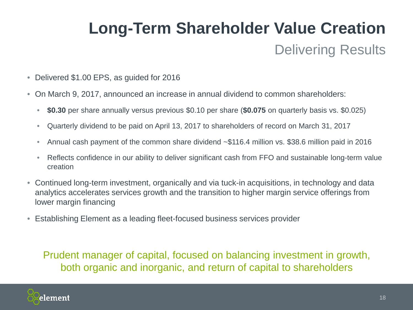# Delivering Results **Long-Term Shareholder Value Creation**

- Delivered \$1.00 EPS, as guided for 2016
- On March 9, 2017, announced an increase in annual dividend to common shareholders:
	- **\$0.30** per share annually versus previous \$0.10 per share (**\$0.075** on quarterly basis vs. \$0.025)
	- Quarterly dividend to be paid on April 13, 2017 to shareholders of record on March 31, 2017
	- Annual cash payment of the common share dividend ~\$116.4 million vs. \$38.6 million paid in 2016
	- Reflects confidence in our ability to deliver significant cash from FFO and sustainable long-term value creation
- Continued long-term investment, organically and via tuck-in acquisitions, in technology and data analytics accelerates services growth and the transition to higher margin service offerings from lower margin financing
- Establishing Element as a leading fleet-focused business services provider

Prudent manager of capital, focused on balancing investment in growth, both organic and inorganic, and return of capital to shareholders